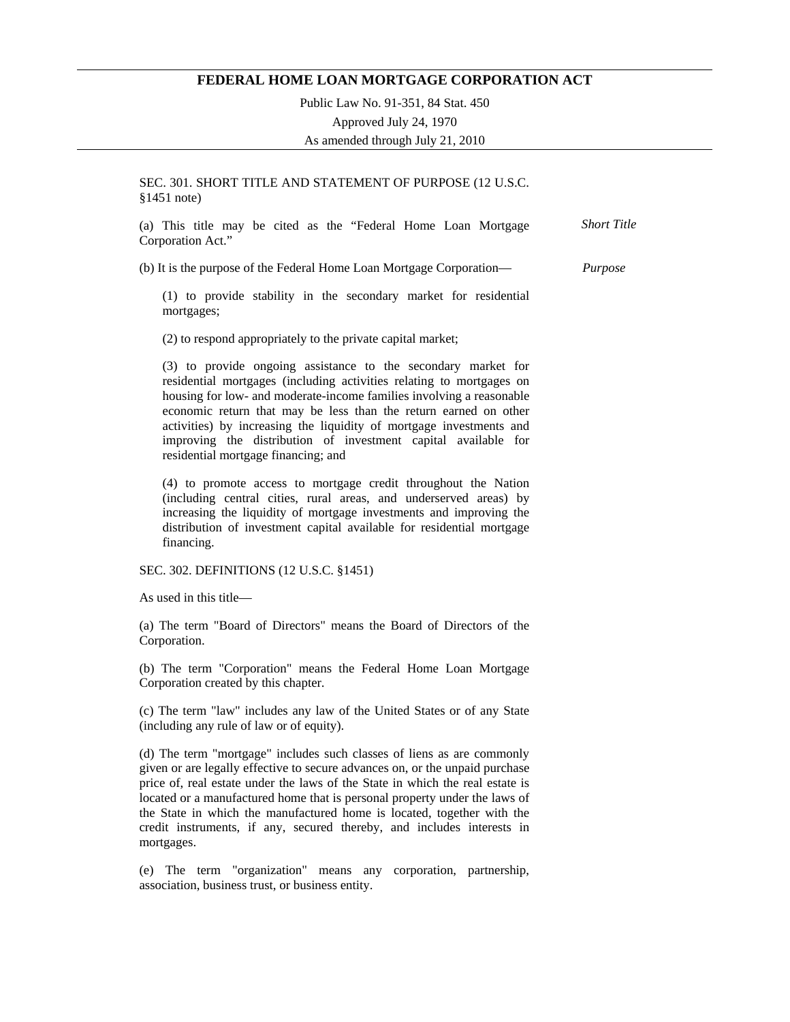## **FEDERAL HOME LOAN MORTGAGE CORPORATION ACT**

Public Law No. 91-351, 84 Stat. 450 Approved July 24, 1970 As amended through July 21, 2010

SEC. 301. SHORT TITLE AND STATEMENT OF PURPOSE (12 U.S.C. §1451 note)

|                   |  |  |  |  | (a) This title may be cited as the "Federal Home Loan Mortgage | <b>Short Title</b> |
|-------------------|--|--|--|--|----------------------------------------------------------------|--------------------|
| Corporation Act." |  |  |  |  |                                                                |                    |

(b) It is the purpose of the Federal Home Loan Mortgage Corporation— *Purpose* 

(1) to provide stability in the secondary market for residential mortgages;

(2) to respond appropriately to the private capital market;

(3) to provide ongoing assistance to the secondary market for residential mortgages (including activities relating to mortgages on housing for low- and moderate-income families involving a reasonable economic return that may be less than the return earned on other activities) by increasing the liquidity of mortgage investments and improving the distribution of investment capital available for residential mortgage financing; and

(4) to promote access to mortgage credit throughout the Nation (including central cities, rural areas, and underserved areas) by increasing the liquidity of mortgage investments and improving the distribution of investment capital available for residential mortgage financing.

SEC. 302. DEFINITIONS (12 U.S.C. §1451)

As used in this title—

(a) The term "Board of Directors" means the Board of Directors of the Corporation.

(b) The term "Corporation" means the Federal Home Loan Mortgage Corporation created by this chapter.

(c) The term "law" includes any law of the United States or of any State (including any rule of law or of equity).

(d) The term "mortgage" includes such classes of liens as are commonly given or are legally effective to secure advances on, or the unpaid purchase price of, real estate under the laws of the State in which the real estate is located or a manufactured home that is personal property under the laws of the State in which the manufactured home is located, together with the credit instruments, if any, secured thereby, and includes interests in mortgages.

(e) The term "organization" means any corporation, partnership, association, business trust, or business entity.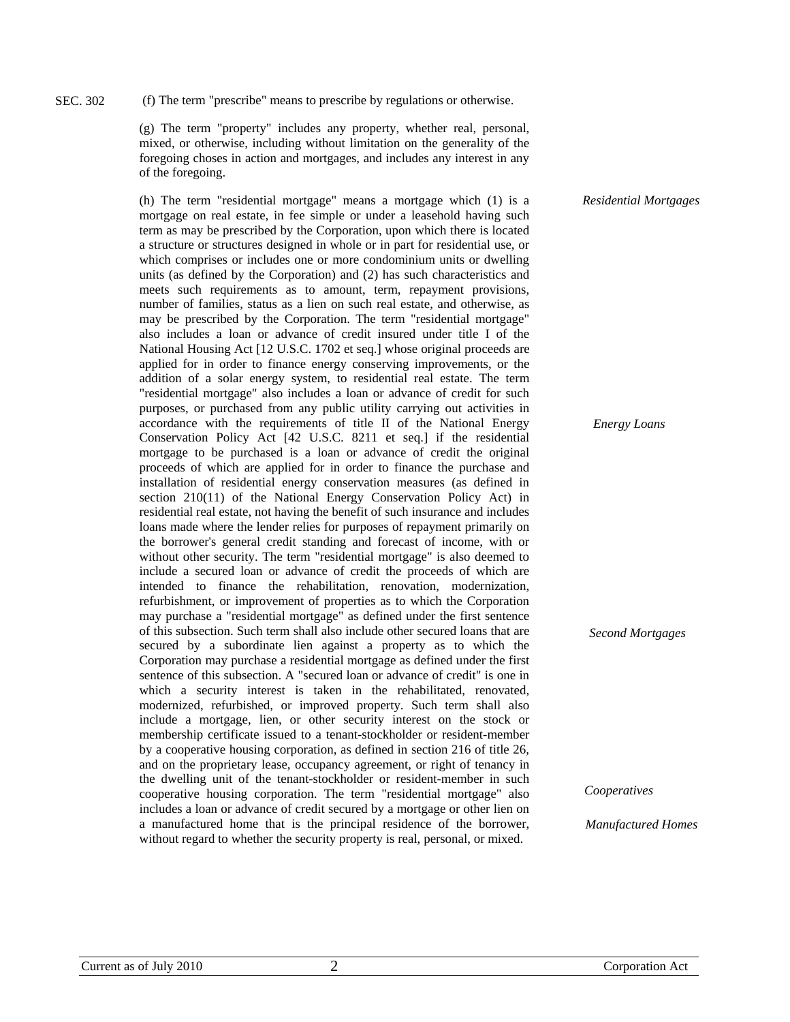#### (f) The term "prescribe" means to prescribe by regulations or otherwise. SEC. 302

(g) The term "property" includes any property, whether real, personal, mixed, or otherwise, including without limitation on the generality of the foregoing choses in action and mortgages, and includes any interest in any of the foregoing.

(h) The term "residential mortgage" means a mortgage which (1) is a mortgage on real estate, in fee simple or under a leasehold having such term as may be prescribed by the Corporation, upon which there is located a structure or structures designed in whole or in part for residential use, or which comprises or includes one or more condominium units or dwelling units (as defined by the Corporation) and (2) has such characteristics and meets such requirements as to amount, term, repayment provisions, number of families, status as a lien on such real estate, and otherwise, as may be prescribed by the Corporation. The term "residential mortgage" also includes a loan or advance of credit insured under title I of the National Housing Act [12 U.S.C. 1702 et seq.] whose original proceeds are applied for in order to finance energy conserving improvements, or the addition of a solar energy system, to residential real estate. The term "residential mortgage" also includes a loan or advance of credit for such purposes, or purchased from any public utility carrying out activities in accordance with the requirements of title II of the National Energy Conservation Policy Act [42 U.S.C. 8211 et seq.] if the residential mortgage to be purchased is a loan or advance of credit the original proceeds of which are applied for in order to finance the purchase and installation of residential energy conservation measures (as defined in section 210(11) of the National Energy Conservation Policy Act) in residential real estate, not having the benefit of such insurance and includes loans made where the lender relies for purposes of repayment primarily on the borrower's general credit standing and forecast of income, with or without other security. The term "residential mortgage" is also deemed to include a secured loan or advance of credit the proceeds of which are intended to finance the rehabilitation, renovation, modernization, refurbishment, or improvement of properties as to which the Corporation may purchase a "residential mortgage" as defined under the first sentence of this subsection. Such term shall also include other secured loans that are secured by a subordinate lien against a property as to which the Corporation may purchase a residential mortgage as defined under the first sentence of this subsection. A "secured loan or advance of credit" is one in which a security interest is taken in the rehabilitated, renovated, modernized, refurbished, or improved property. Such term shall also include a mortgage, lien, or other security interest on the stock or membership certificate issued to a tenant-stockholder or resident-member by a cooperative housing corporation, as defined in section 216 of title 26, and on the proprietary lease, occupancy agreement, or right of tenancy in the dwelling unit of the tenant-stockholder or resident-member in such cooperative housing corporation. The term "residential mortgage" also includes a loan or advance of credit secured by a mortgage or other lien on a manufactured home that is the principal residence of the borrower, without regard to whether the security property is real, personal, or mixed.

*Residential Mortgages* 

*Energy Loans* 

*Second Mortgages* 

*Cooperatives* 

*Manufactured Homes*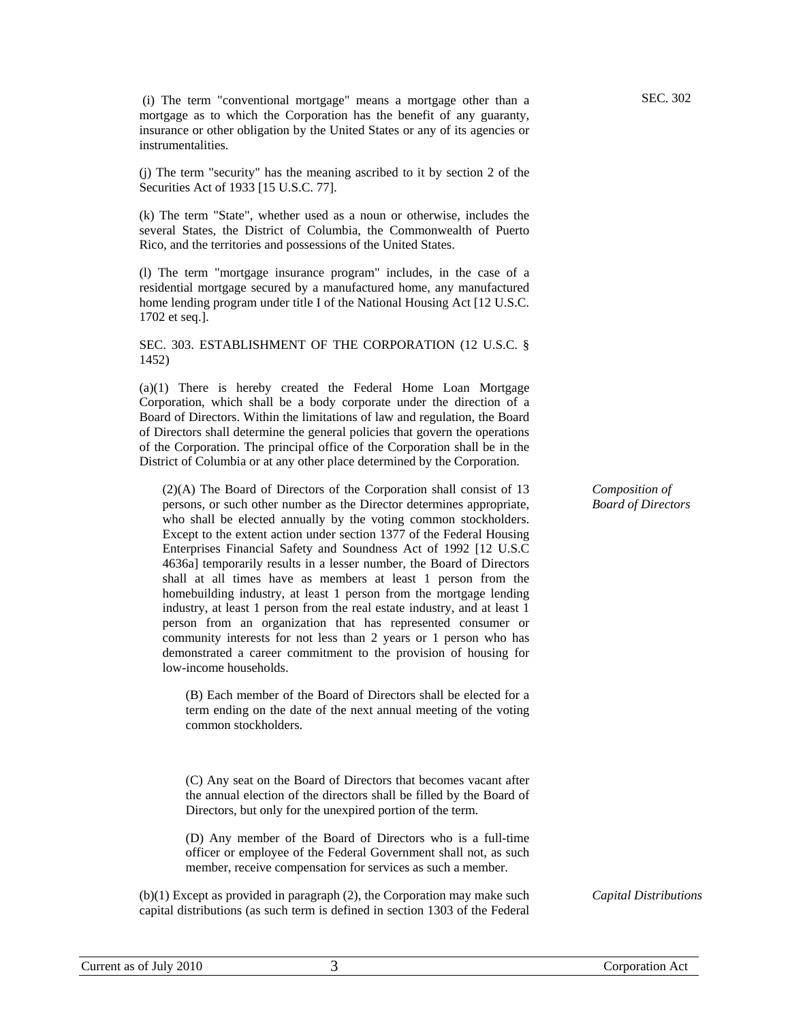(i) The term "conventional mortgage" means a mortgage other than a mortgage as to which the Corporation has the benefit of any guaranty, insurance or other obligation by the United States or any of its agencies or instrumentalities.

(j) The term "security" has the meaning ascribed to it by section 2 of the Securities Act of 1933 [15 U.S.C. 77].

(k) The term "State", whether used as a noun or otherwise, includes the several States, the District of Columbia, the Commonwealth of Puerto Rico, and the territories and possessions of the United States.

(l) The term "mortgage insurance program" includes, in the case of a residential mortgage secured by a manufactured home, any manufactured home lending program under title I of the National Housing Act [12 U.S.C. 1702 et seq.].

#### SEC. 303. ESTABLISHMENT OF THE CORPORATION (12 U.S.C. § 1452)

(a)(1) There is hereby created the Federal Home Loan Mortgage Corporation, which shall be a body corporate under the direction of a Board of Directors. Within the limitations of law and regulation, the Board of Directors shall determine the general policies that govern the operations of the Corporation. The principal office of the Corporation shall be in the District of Columbia or at any other place determined by the Corporation.

(2)(A) The Board of Directors of the Corporation shall consist of 13 persons, or such other number as the Director determines appropriate, who shall be elected annually by the voting common stockholders. Except to the extent action under section 1377 of the Federal Housing Enterprises Financial Safety and Soundness Act of 1992 [12 U.S.C 4636a] temporarily results in a lesser number, the Board of Directors shall at all times have as members at least 1 person from the homebuilding industry, at least 1 person from the mortgage lending industry, at least 1 person from the real estate industry, and at least 1 person from an organization that has represented consumer or community interests for not less than 2 years or 1 person who has demonstrated a career commitment to the provision of housing for low-income households.

(B) Each member of the Board of Directors shall be elected for a term ending on the date of the next annual meeting of the voting common stockholders.

(C) Any seat on the Board of Directors that becomes vacant after the annual election of the directors shall be filled by the Board of Directors, but only for the unexpired portion of the term.

(D) Any member of the Board of Directors who is a full-time officer or employee of the Federal Government shall not, as such member, receive compensation for services as such a member.

(b)(1) Except as provided in paragraph (2), the Corporation may make such capital distributions (as such term is defined in section 1303 of the Federal

*Composition of Board of Directors* 

*Capital Distributions*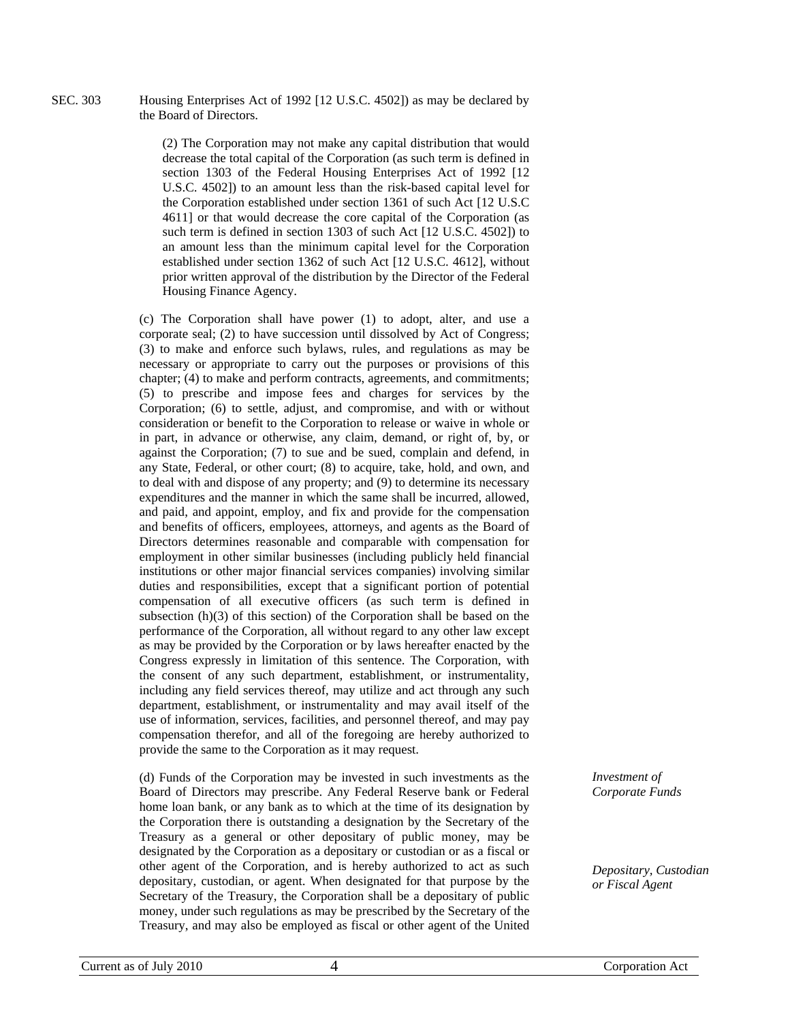Housing Enterprises Act of 1992 [12 U.S.C. 4502]) as may be declared by the Board of Directors. SEC. 303

> (2) The Corporation may not make any capital distribution that would decrease the total capital of the Corporation (as such term is defined in section 1303 of the Federal Housing Enterprises Act of 1992 [12 U.S.C. 4502]) to an amount less than the risk-based capital level for the Corporation established under section 1361 of such Act [12 U.S.C 4611] or that would decrease the core capital of the Corporation (as such term is defined in section 1303 of such Act [12 U.S.C. 4502]) to an amount less than the minimum capital level for the Corporation established under section 1362 of such Act [12 U.S.C. 4612], without prior written approval of the distribution by the Director of the Federal Housing Finance Agency.

(c) The Corporation shall have power (1) to adopt, alter, and use a corporate seal; (2) to have succession until dissolved by Act of Congress; (3) to make and enforce such bylaws, rules, and regulations as may be necessary or appropriate to carry out the purposes or provisions of this chapter; (4) to make and perform contracts, agreements, and commitments; (5) to prescribe and impose fees and charges for services by the Corporation; (6) to settle, adjust, and compromise, and with or without consideration or benefit to the Corporation to release or waive in whole or in part, in advance or otherwise, any claim, demand, or right of, by, or against the Corporation; (7) to sue and be sued, complain and defend, in any State, Federal, or other court; (8) to acquire, take, hold, and own, and to deal with and dispose of any property; and (9) to determine its necessary expenditures and the manner in which the same shall be incurred, allowed, and paid, and appoint, employ, and fix and provide for the compensation and benefits of officers, employees, attorneys, and agents as the Board of Directors determines reasonable and comparable with compensation for employment in other similar businesses (including publicly held financial institutions or other major financial services companies) involving similar duties and responsibilities, except that a significant portion of potential compensation of all executive officers (as such term is defined in subsection (h)(3) of this section) of the Corporation shall be based on the performance of the Corporation, all without regard to any other law except as may be provided by the Corporation or by laws hereafter enacted by the Congress expressly in limitation of this sentence. The Corporation, with the consent of any such department, establishment, or instrumentality, including any field services thereof, may utilize and act through any such department, establishment, or instrumentality and may avail itself of the use of information, services, facilities, and personnel thereof, and may pay compensation therefor, and all of the foregoing are hereby authorized to provide the same to the Corporation as it may request.

(d) Funds of the Corporation may be invested in such investments as the Board of Directors may prescribe. Any Federal Reserve bank or Federal home loan bank, or any bank as to which at the time of its designation by the Corporation there is outstanding a designation by the Secretary of the Treasury as a general or other depositary of public money, may be designated by the Corporation as a depositary or custodian or as a fiscal or other agent of the Corporation, and is hereby authorized to act as such depositary, custodian, or agent. When designated for that purpose by the Secretary of the Treasury, the Corporation shall be a depositary of public money, under such regulations as may be prescribed by the Secretary of the Treasury, and may also be employed as fiscal or other agent of the United

*Investment of Corporate Funds* 

*Depositary, Custodian or Fiscal Agent*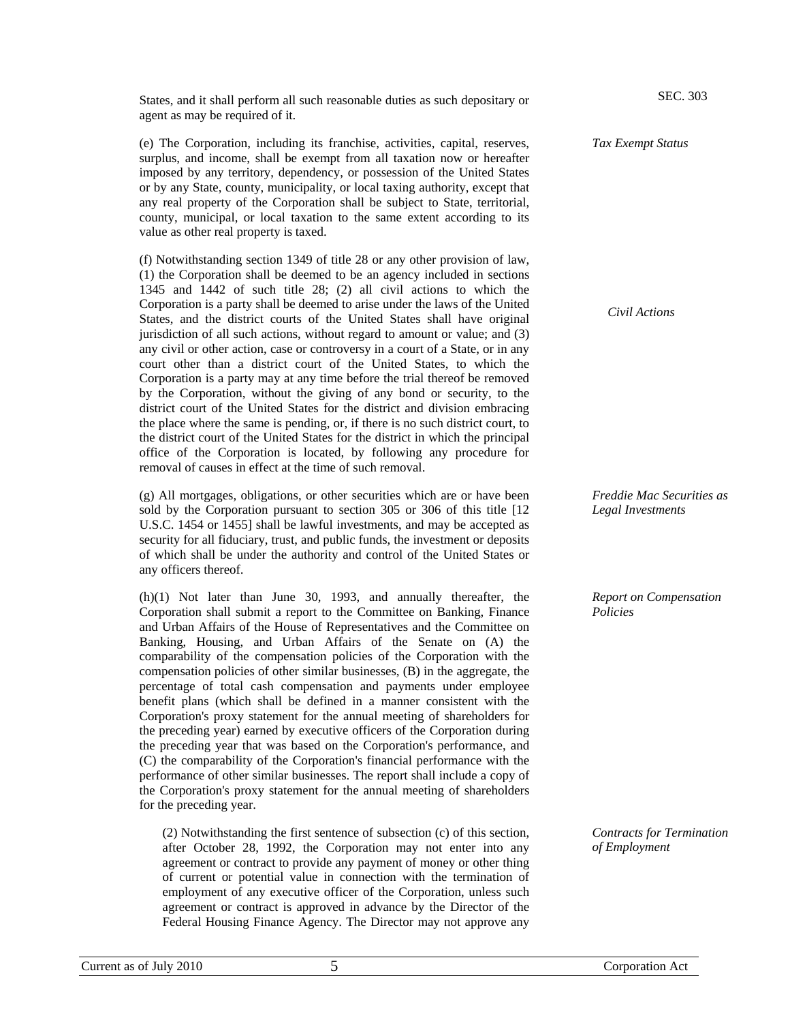States, and it shall perform all such reasonable duties as such depositary or agent as may be required of it.

(e) The Corporation, including its franchise, activities, capital, reserves, surplus, and income, shall be exempt from all taxation now or hereafter imposed by any territory, dependency, or possession of the United States or by any State, county, municipality, or local taxing authority, except that any real property of the Corporation shall be subject to State, territorial, county, municipal, or local taxation to the same extent according to its value as other real property is taxed.

(f) Notwithstanding section 1349 of title 28 or any other provision of law, (1) the Corporation shall be deemed to be an agency included in sections 1345 and 1442 of such title 28; (2) all civil actions to which the Corporation is a party shall be deemed to arise under the laws of the United States, and the district courts of the United States shall have original jurisdiction of all such actions, without regard to amount or value; and (3) any civil or other action, case or controversy in a court of a State, or in any court other than a district court of the United States, to which the Corporation is a party may at any time before the trial thereof be removed by the Corporation, without the giving of any bond or security, to the district court of the United States for the district and division embracing the place where the same is pending, or, if there is no such district court, to the district court of the United States for the district in which the principal office of the Corporation is located, by following any procedure for removal of causes in effect at the time of such removal.

(g) All mortgages, obligations, or other securities which are or have been sold by the Corporation pursuant to section 305 or 306 of this title [12 U.S.C. 1454 or 1455] shall be lawful investments, and may be accepted as security for all fiduciary, trust, and public funds, the investment or deposits of which shall be under the authority and control of the United States or any officers thereof.

(h)(1) Not later than June 30, 1993, and annually thereafter, the Corporation shall submit a report to the Committee on Banking, Finance and Urban Affairs of the House of Representatives and the Committee on Banking, Housing, and Urban Affairs of the Senate on (A) the comparability of the compensation policies of the Corporation with the compensation policies of other similar businesses, (B) in the aggregate, the percentage of total cash compensation and payments under employee benefit plans (which shall be defined in a manner consistent with the Corporation's proxy statement for the annual meeting of shareholders for the preceding year) earned by executive officers of the Corporation during the preceding year that was based on the Corporation's performance, and (C) the comparability of the Corporation's financial performance with the performance of other similar businesses. The report shall include a copy of the Corporation's proxy statement for the annual meeting of shareholders for the preceding year.

(2) Notwithstanding the first sentence of subsection (c) of this section, after October 28, 1992, the Corporation may not enter into any agreement or contract to provide any payment of money or other thing of current or potential value in connection with the termination of employment of any executive officer of the Corporation, unless such agreement or contract is approved in advance by the Director of the Federal Housing Finance Agency. The Director may not approve any

*Civil Actions* 

*Tax Exempt Status* 

SEC. 303

*Freddie Mac Securities as Legal Investments* 

*Report on Compensation Policies* 

*Contracts for Termination of Employment*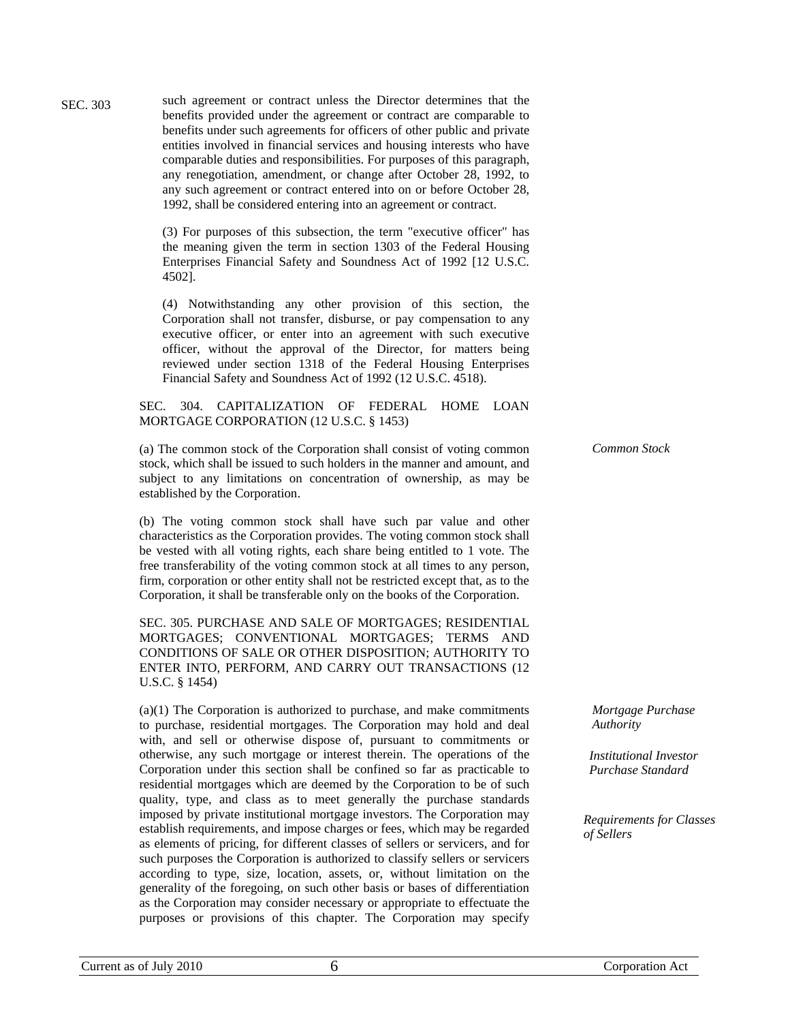such agreement or contract unless the Director determines that the benefits provided under the agreement or contract are comparable to benefits under such agreements for officers of other public and private entities involved in financial services and housing interests who have comparable duties and responsibilities. For purposes of this paragraph, any renegotiation, amendment, or change after October 28, 1992, to any such agreement or contract entered into on or before October 28, 1992, shall be considered entering into an agreement or contract. SEC. 303

> (3) For purposes of this subsection, the term "executive officer" has the meaning given the term in section 1303 of the Federal Housing Enterprises Financial Safety and Soundness Act of 1992 [12 U.S.C. 4502].

> (4) Notwithstanding any other provision of this section, the Corporation shall not transfer, disburse, or pay compensation to any executive officer, or enter into an agreement with such executive officer, without the approval of the Director, for matters being reviewed under section 1318 of the Federal Housing Enterprises Financial Safety and Soundness Act of 1992 (12 U.S.C. 4518).

SEC. 304. CAPITALIZATION OF FEDERAL HOME LOAN MORTGAGE CORPORATION (12 U.S.C. § 1453)

(a) The common stock of the Corporation shall consist of voting common stock, which shall be issued to such holders in the manner and amount, and subject to any limitations on concentration of ownership, as may be established by the Corporation.

(b) The voting common stock shall have such par value and other characteristics as the Corporation provides. The voting common stock shall be vested with all voting rights, each share being entitled to 1 vote. The free transferability of the voting common stock at all times to any person, firm, corporation or other entity shall not be restricted except that, as to the Corporation, it shall be transferable only on the books of the Corporation.

SEC. 305. PURCHASE AND SALE OF MORTGAGES; RESIDENTIAL MORTGAGES; CONVENTIONAL MORTGAGES; TERMS AND CONDITIONS OF SALE OR OTHER DISPOSITION; AUTHORITY TO ENTER INTO, PERFORM, AND CARRY OUT TRANSACTIONS (12 U.S.C. § 1454)

(a)(1) The Corporation is authorized to purchase, and make commitments to purchase, residential mortgages. The Corporation may hold and deal with, and sell or otherwise dispose of, pursuant to commitments or otherwise, any such mortgage or interest therein. The operations of the Corporation under this section shall be confined so far as practicable to residential mortgages which are deemed by the Corporation to be of such quality, type, and class as to meet generally the purchase standards imposed by private institutional mortgage investors. The Corporation may establish requirements, and impose charges or fees, which may be regarded as elements of pricing, for different classes of sellers or servicers, and for such purposes the Corporation is authorized to classify sellers or servicers according to type, size, location, assets, or, without limitation on the generality of the foregoing, on such other basis or bases of differentiation as the Corporation may consider necessary or appropriate to effectuate the purposes or provisions of this chapter. The Corporation may specify

*Common Stock* 

*Mortgage Purchase Authority* 

*Institutional Investor Purchase Standard* 

*Requirements for Classes of Sellers*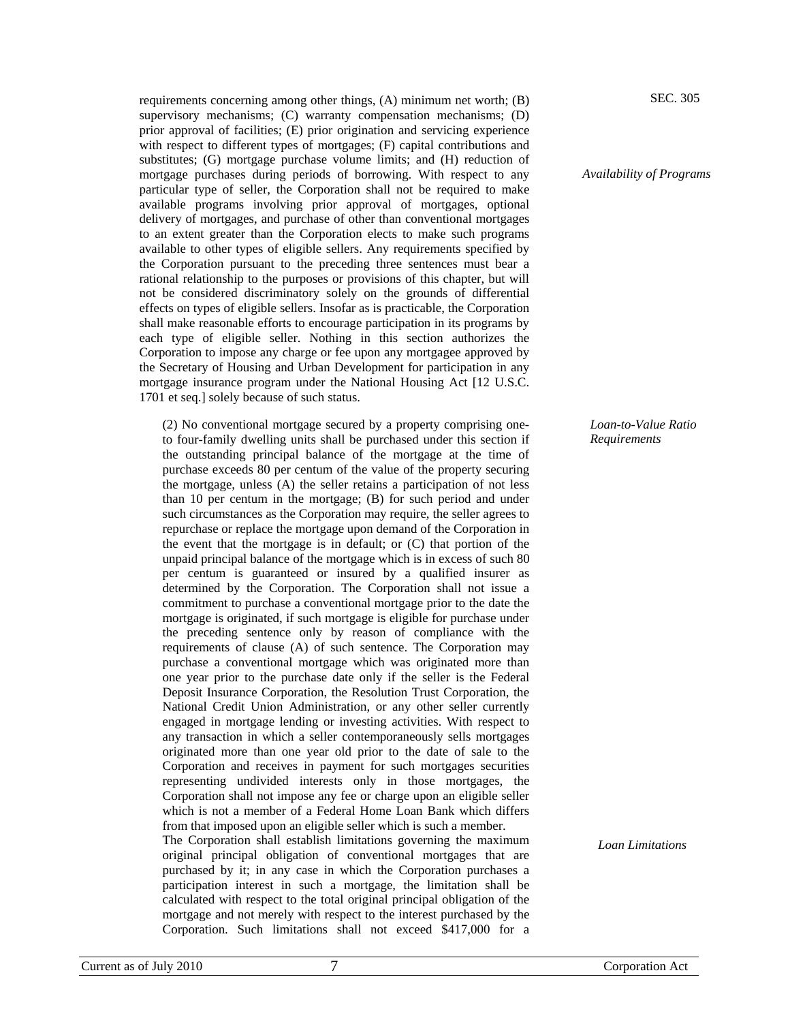requirements concerning among other things, (A) minimum net worth; (B) supervisory mechanisms; (C) warranty compensation mechanisms; (D) prior approval of facilities; (E) prior origination and servicing experience with respect to different types of mortgages; (F) capital contributions and substitutes; (G) mortgage purchase volume limits; and (H) reduction of mortgage purchases during periods of borrowing. With respect to any particular type of seller, the Corporation shall not be required to make available programs involving prior approval of mortgages, optional delivery of mortgages, and purchase of other than conventional mortgages to an extent greater than the Corporation elects to make such programs available to other types of eligible sellers. Any requirements specified by the Corporation pursuant to the preceding three sentences must bear a rational relationship to the purposes or provisions of this chapter, but will not be considered discriminatory solely on the grounds of differential effects on types of eligible sellers. Insofar as is practicable, the Corporation shall make reasonable efforts to encourage participation in its programs by each type of eligible seller. Nothing in this section authorizes the Corporation to impose any charge or fee upon any mortgagee approved by the Secretary of Housing and Urban Development for participation in any mortgage insurance program under the National Housing Act [12 U.S.C. 1701 et seq.] solely because of such status.

(2) No conventional mortgage secured by a property comprising oneto four-family dwelling units shall be purchased under this section if the outstanding principal balance of the mortgage at the time of purchase exceeds 80 per centum of the value of the property securing the mortgage, unless (A) the seller retains a participation of not less than 10 per centum in the mortgage; (B) for such period and under such circumstances as the Corporation may require, the seller agrees to repurchase or replace the mortgage upon demand of the Corporation in the event that the mortgage is in default; or (C) that portion of the unpaid principal balance of the mortgage which is in excess of such 80 per centum is guaranteed or insured by a qualified insurer as determined by the Corporation. The Corporation shall not issue a commitment to purchase a conventional mortgage prior to the date the mortgage is originated, if such mortgage is eligible for purchase under the preceding sentence only by reason of compliance with the requirements of clause (A) of such sentence. The Corporation may purchase a conventional mortgage which was originated more than one year prior to the purchase date only if the seller is the Federal Deposit Insurance Corporation, the Resolution Trust Corporation, the National Credit Union Administration, or any other seller currently engaged in mortgage lending or investing activities. With respect to any transaction in which a seller contemporaneously sells mortgages originated more than one year old prior to the date of sale to the Corporation and receives in payment for such mortgages securities representing undivided interests only in those mortgages, the Corporation shall not impose any fee or charge upon an eligible seller which is not a member of a Federal Home Loan Bank which differs from that imposed upon an eligible seller which is such a member.

The Corporation shall establish limitations governing the maximum original principal obligation of conventional mortgages that are purchased by it; in any case in which the Corporation purchases a participation interest in such a mortgage, the limitation shall be calculated with respect to the total original principal obligation of the mortgage and not merely with respect to the interest purchased by the Corporation. Such limitations shall not exceed \$417,000 for a

SEC. 305

*Availability of Programs* 

*Loan-to-Value Ratio Requirements* 

*Loan Limitations*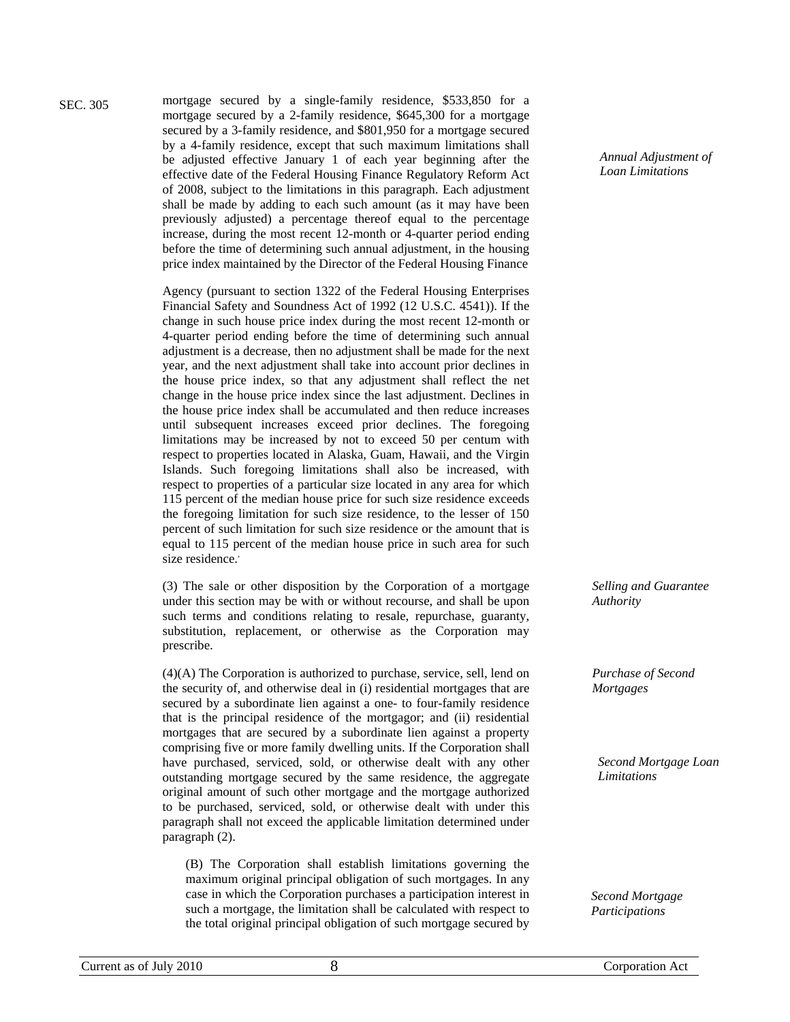SEC. 305

mortgage secured by a single-family residence, \$533,850 for a mortgage secured by a 2-family residence, \$645,300 for a mortgage secured by a 3-family residence, and \$801,950 for a mortgage secured by a 4-family residence, except that such maximum limitations shall be adjusted effective January 1 of each year beginning after the effective date of the Federal Housing Finance Regulatory Reform Act of 2008, subject to the limitations in this paragraph. Each adjustment shall be made by adding to each such amount (as it may have been previously adjusted) a percentage thereof equal to the percentage increase, during the most recent 12-month or 4-quarter period ending before the time of determining such annual adjustment, in the housing price index maintained by the Director of the Federal Housing Finance

Agency (pursuant to section 1322 of the Federal Housing Enterprises Financial Safety and Soundness Act of 1992 (12 U.S.C. 4541)). If the change in such house price index during the most recent 12-month or 4-quarter period ending before the time of determining such annual adjustment is a decrease, then no adjustment shall be made for the next year, and the next adjustment shall take into account prior declines in the house price index, so that any adjustment shall reflect the net change in the house price index since the last adjustment. Declines in the house price index shall be accumulated and then reduce increases until subsequent increases exceed prior declines. The foregoing limitations may be increased by not to exceed 50 per centum with respect to properties located in Alaska, Guam, Hawaii, and the Virgin Islands. Such foregoing limitations shall also be increased, with respect to properties of a particular size located in any area for which 115 percent of the median house price for such size residence exceeds the foregoing limitation for such size residence, to the lesser of 150 percent of such limitation for such size residence or the amount that is equal to 115 percent of the median house price in such area for such size residence.'

(3) The sale or other disposition by the Corporation of a mortgage under this section may be with or without recourse, and shall be upon such terms and conditions relating to resale, repurchase, guaranty, substitution, replacement, or otherwise as the Corporation may prescribe.

(4)(A) The Corporation is authorized to purchase, service, sell, lend on the security of, and otherwise deal in (i) residential mortgages that are secured by a subordinate lien against a one- to four-family residence that is the principal residence of the mortgagor; and (ii) residential mortgages that are secured by a subordinate lien against a property comprising five or more family dwelling units. If the Corporation shall have purchased, serviced, sold, or otherwise dealt with any other outstanding mortgage secured by the same residence, the aggregate original amount of such other mortgage and the mortgage authorized to be purchased, serviced, sold, or otherwise dealt with under this paragraph shall not exceed the applicable limitation determined under paragraph (2).

(B) The Corporation shall establish limitations governing the maximum original principal obligation of such mortgages. In any case in which the Corporation purchases a participation interest in such a mortgage, the limitation shall be calculated with respect to the total original principal obligation of such mortgage secured by

*Annual Adjustment of Loan Limitations* 

*Selling and Guarantee Authority* 

*Purchase of Second Mortgages* 

*Second Mortgage Loan Limitations* 

*Second Mortgage Participations*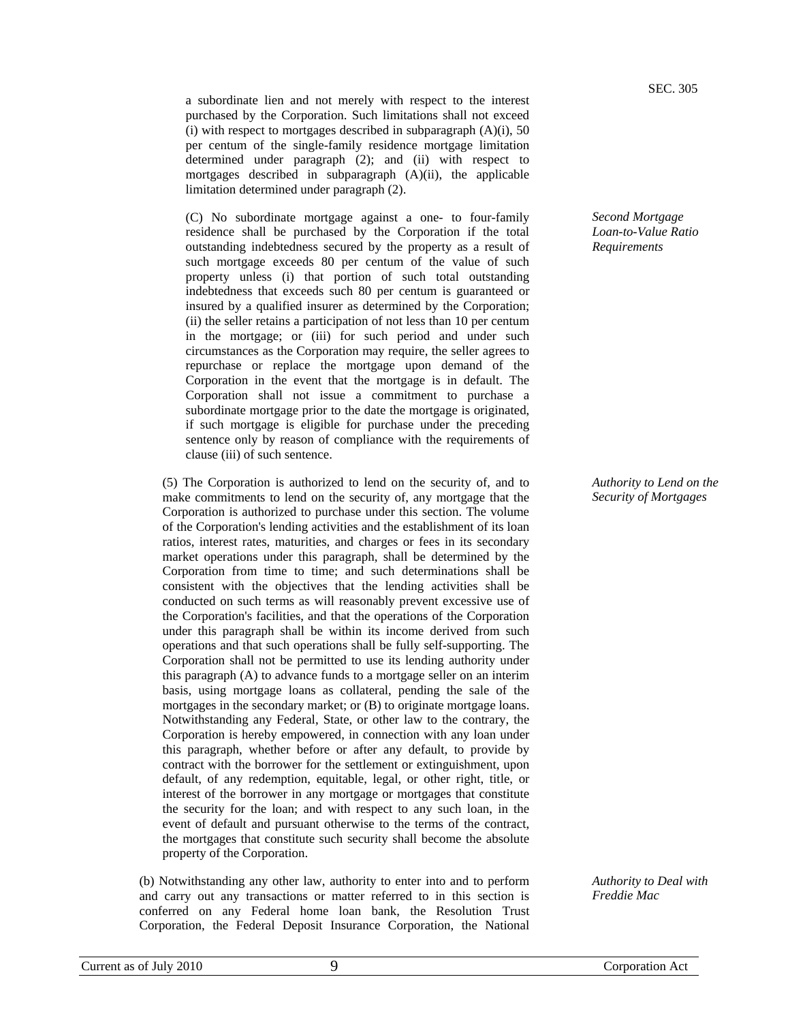a subordinate lien and not merely with respect to the interest purchased by the Corporation. Such limitations shall not exceed (i) with respect to mortgages described in subparagraph  $(A)(i)$ , 50 per centum of the single-family residence mortgage limitation determined under paragraph (2); and (ii) with respect to mortgages described in subparagraph (A)(ii), the applicable limitation determined under paragraph (2).

(C) No subordinate mortgage against a one- to four-family residence shall be purchased by the Corporation if the total outstanding indebtedness secured by the property as a result of such mortgage exceeds 80 per centum of the value of such property unless (i) that portion of such total outstanding indebtedness that exceeds such 80 per centum is guaranteed or insured by a qualified insurer as determined by the Corporation; (ii) the seller retains a participation of not less than 10 per centum in the mortgage; or (iii) for such period and under such circumstances as the Corporation may require, the seller agrees to repurchase or replace the mortgage upon demand of the Corporation in the event that the mortgage is in default. The Corporation shall not issue a commitment to purchase a subordinate mortgage prior to the date the mortgage is originated, if such mortgage is eligible for purchase under the preceding sentence only by reason of compliance with the requirements of clause (iii) of such sentence.

(5) The Corporation is authorized to lend on the security of, and to make commitments to lend on the security of, any mortgage that the Corporation is authorized to purchase under this section. The volume of the Corporation's lending activities and the establishment of its loan ratios, interest rates, maturities, and charges or fees in its secondary market operations under this paragraph, shall be determined by the Corporation from time to time; and such determinations shall be consistent with the objectives that the lending activities shall be conducted on such terms as will reasonably prevent excessive use of the Corporation's facilities, and that the operations of the Corporation under this paragraph shall be within its income derived from such operations and that such operations shall be fully self-supporting. The Corporation shall not be permitted to use its lending authority under this paragraph (A) to advance funds to a mortgage seller on an interim basis, using mortgage loans as collateral, pending the sale of the mortgages in the secondary market; or (B) to originate mortgage loans. Notwithstanding any Federal, State, or other law to the contrary, the Corporation is hereby empowered, in connection with any loan under this paragraph, whether before or after any default, to provide by contract with the borrower for the settlement or extinguishment, upon default, of any redemption, equitable, legal, or other right, title, or interest of the borrower in any mortgage or mortgages that constitute the security for the loan; and with respect to any such loan, in the event of default and pursuant otherwise to the terms of the contract, the mortgages that constitute such security shall become the absolute property of the Corporation.

(b) Notwithstanding any other law, authority to enter into and to perform and carry out any transactions or matter referred to in this section is conferred on any Federal home loan bank, the Resolution Trust Corporation, the Federal Deposit Insurance Corporation, the National

SEC. 305

*Second Mortgage Loan-to-Value Ratio Requirements* 

*Authority to Lend on the Security of Mortgages* 

*Authority to Deal with Freddie Mac*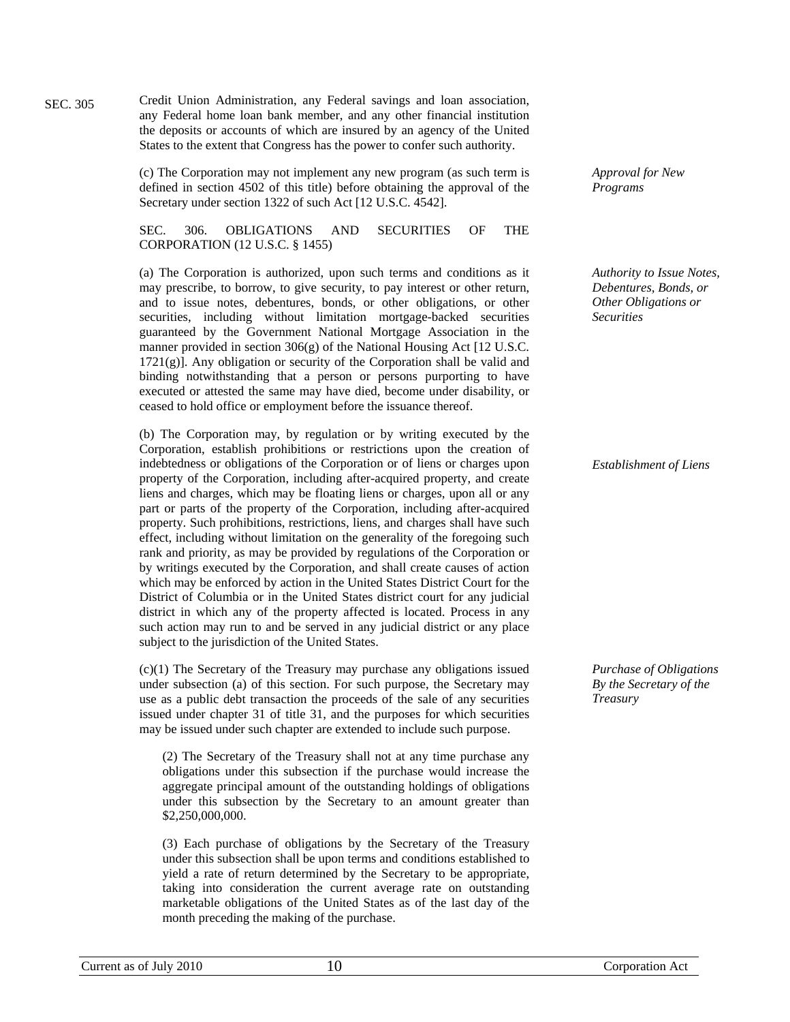Credit Union Administration, any Federal savings and loan association, any Federal home loan bank member, and any other financial institution the deposits or accounts of which are insured by an agency of the United States to the extent that Congress has the power to confer such authority.

(c) The Corporation may not implement any new program (as such term is defined in section 4502 of this title) before obtaining the approval of the Secretary under section 1322 of such Act [12 U.S.C. 4542].

SEC. 306. OBLIGATIONS AND SECURITIES OF THE CORPORATION (12 U.S.C. § 1455)

(a) The Corporation is authorized, upon such terms and conditions as it may prescribe, to borrow, to give security, to pay interest or other return, and to issue notes, debentures, bonds, or other obligations, or other securities, including without limitation mortgage-backed securities guaranteed by the Government National Mortgage Association in the manner provided in section  $306(g)$  of the National Housing Act [12 U.S.C.] 1721(g)]. Any obligation or security of the Corporation shall be valid and binding notwithstanding that a person or persons purporting to have executed or attested the same may have died, become under disability, or ceased to hold office or employment before the issuance thereof.

(b) The Corporation may, by regulation or by writing executed by the Corporation, establish prohibitions or restrictions upon the creation of indebtedness or obligations of the Corporation or of liens or charges upon property of the Corporation, including after-acquired property, and create liens and charges, which may be floating liens or charges, upon all or any part or parts of the property of the Corporation, including after-acquired property. Such prohibitions, restrictions, liens, and charges shall have such effect, including without limitation on the generality of the foregoing such rank and priority, as may be provided by regulations of the Corporation or by writings executed by the Corporation, and shall create causes of action which may be enforced by action in the United States District Court for the District of Columbia or in the United States district court for any judicial district in which any of the property affected is located. Process in any such action may run to and be served in any judicial district or any place subject to the jurisdiction of the United States.

(c)(1) The Secretary of the Treasury may purchase any obligations issued under subsection (a) of this section. For such purpose, the Secretary may use as a public debt transaction the proceeds of the sale of any securities issued under chapter 31 of title 31, and the purposes for which securities may be issued under such chapter are extended to include such purpose.

(2) The Secretary of the Treasury shall not at any time purchase any obligations under this subsection if the purchase would increase the aggregate principal amount of the outstanding holdings of obligations under this subsection by the Secretary to an amount greater than \$2,250,000,000.

(3) Each purchase of obligations by the Secretary of the Treasury under this subsection shall be upon terms and conditions established to yield a rate of return determined by the Secretary to be appropriate, taking into consideration the current average rate on outstanding marketable obligations of the United States as of the last day of the month preceding the making of the purchase.

*Approval for New Programs* 

*Authority to Issue Notes, Debentures, Bonds, or Other Obligations or Securities* 

*Establishment of Liens* 

*Purchase of Obligations By the Secretary of the Treasury* 

SEC. 305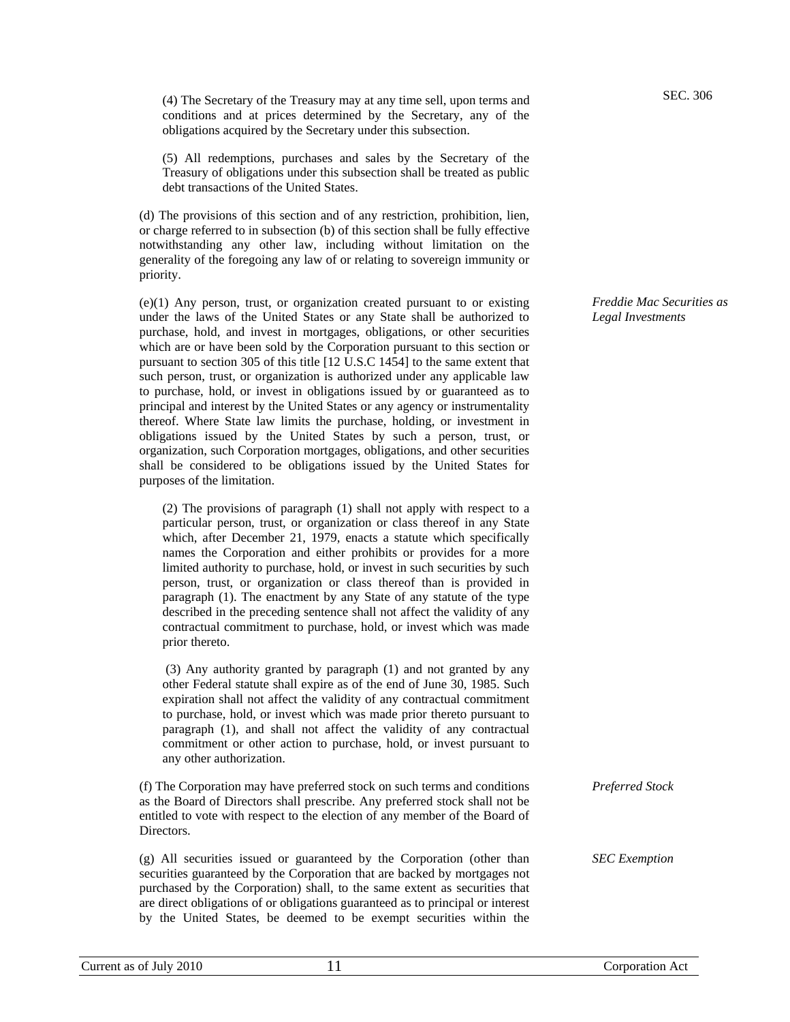(4) The Secretary of the Treasury may at any time sell, upon terms and conditions and at prices determined by the Secretary, any of the obligations acquired by the Secretary under this subsection.

(5) All redemptions, purchases and sales by the Secretary of the Treasury of obligations under this subsection shall be treated as public debt transactions of the United States.

(d) The provisions of this section and of any restriction, prohibition, lien, or charge referred to in subsection (b) of this section shall be fully effective notwithstanding any other law, including without limitation on the generality of the foregoing any law of or relating to sovereign immunity or priority.

(e)(1) Any person, trust, or organization created pursuant to or existing under the laws of the United States or any State shall be authorized to purchase, hold, and invest in mortgages, obligations, or other securities which are or have been sold by the Corporation pursuant to this section or pursuant to section 305 of this title [12 U.S.C 1454] to the same extent that such person, trust, or organization is authorized under any applicable law to purchase, hold, or invest in obligations issued by or guaranteed as to principal and interest by the United States or any agency or instrumentality thereof. Where State law limits the purchase, holding, or investment in obligations issued by the United States by such a person, trust, or organization, such Corporation mortgages, obligations, and other securities shall be considered to be obligations issued by the United States for purposes of the limitation.

(2) The provisions of paragraph (1) shall not apply with respect to a particular person, trust, or organization or class thereof in any State which, after December 21, 1979, enacts a statute which specifically names the Corporation and either prohibits or provides for a more limited authority to purchase, hold, or invest in such securities by such person, trust, or organization or class thereof than is provided in paragraph (1). The enactment by any State of any statute of the type described in the preceding sentence shall not affect the validity of any contractual commitment to purchase, hold, or invest which was made prior thereto.

 (3) Any authority granted by paragraph (1) and not granted by any other Federal statute shall expire as of the end of June 30, 1985. Such expiration shall not affect the validity of any contractual commitment to purchase, hold, or invest which was made prior thereto pursuant to paragraph (1), and shall not affect the validity of any contractual commitment or other action to purchase, hold, or invest pursuant to any other authorization.

(f) The Corporation may have preferred stock on such terms and conditions as the Board of Directors shall prescribe. Any preferred stock shall not be entitled to vote with respect to the election of any member of the Board of Directors. *Preferred Stock* 

(g) All securities issued or guaranteed by the Corporation (other than securities guaranteed by the Corporation that are backed by mortgages not purchased by the Corporation) shall, to the same extent as securities that are direct obligations of or obligations guaranteed as to principal or interest by the United States, be deemed to be exempt securities within the *Freddie Mac Securities as Legal Investments* 

Current as of July 2010 11 Corporation Act 11

*SEC Exemption*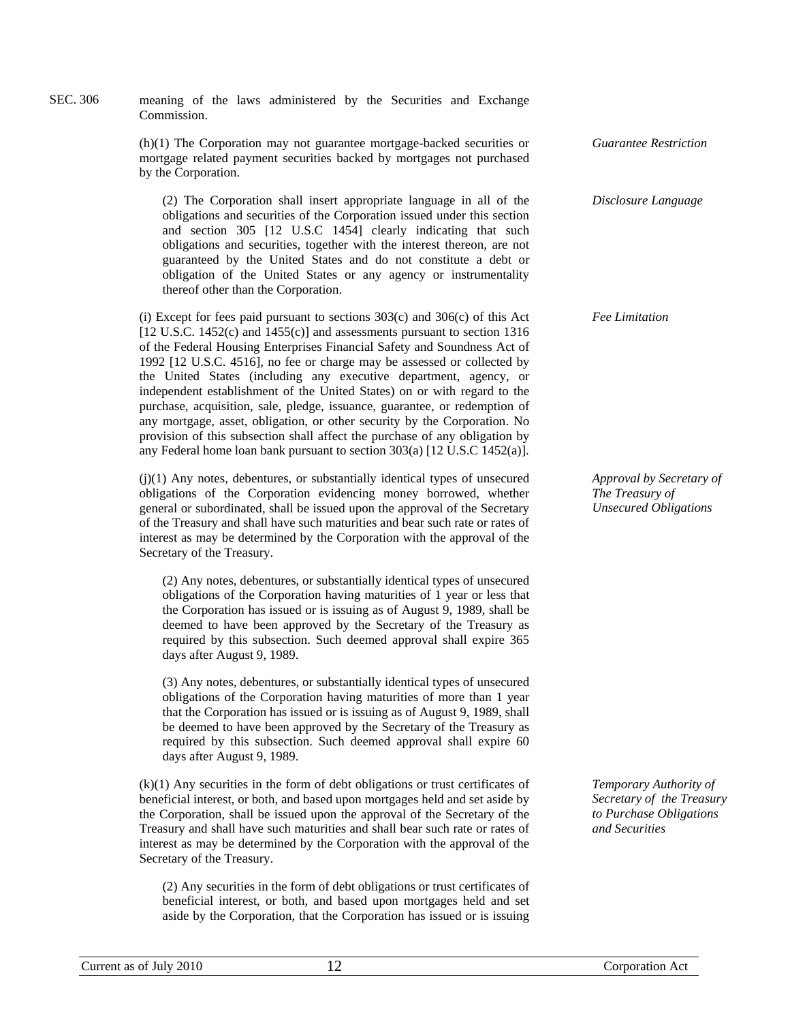| SEC. 306 | meaning of the laws administered by the Securities and Exchange<br>Commission.                                                                                                                                                                                                                                                                                                                                                                                                                                                                                                                                                                                                                                                                                                                |                                                                             |  |  |
|----------|-----------------------------------------------------------------------------------------------------------------------------------------------------------------------------------------------------------------------------------------------------------------------------------------------------------------------------------------------------------------------------------------------------------------------------------------------------------------------------------------------------------------------------------------------------------------------------------------------------------------------------------------------------------------------------------------------------------------------------------------------------------------------------------------------|-----------------------------------------------------------------------------|--|--|
|          | $(h)(1)$ The Corporation may not guarantee mortgage-backed securities or<br>mortgage related payment securities backed by mortgages not purchased<br>by the Corporation.                                                                                                                                                                                                                                                                                                                                                                                                                                                                                                                                                                                                                      | <b>Guarantee Restriction</b>                                                |  |  |
|          | (2) The Corporation shall insert appropriate language in all of the<br>obligations and securities of the Corporation issued under this section<br>and section 305 [12 U.S.C 1454] clearly indicating that such<br>obligations and securities, together with the interest thereon, are not<br>guaranteed by the United States and do not constitute a debt or<br>obligation of the United States or any agency or instrumentality<br>thereof other than the Corporation.                                                                                                                                                                                                                                                                                                                       | Disclosure Language                                                         |  |  |
|          | (i) Except for fees paid pursuant to sections $303(c)$ and $306(c)$ of this Act<br>[12 U.S.C. 1452(c) and $1455(c)$ ] and assessments pursuant to section 1316<br>of the Federal Housing Enterprises Financial Safety and Soundness Act of<br>1992 [12 U.S.C. 4516], no fee or charge may be assessed or collected by<br>the United States (including any executive department, agency, or<br>independent establishment of the United States) on or with regard to the<br>purchase, acquisition, sale, pledge, issuance, guarantee, or redemption of<br>any mortgage, asset, obligation, or other security by the Corporation. No<br>provision of this subsection shall affect the purchase of any obligation by<br>any Federal home loan bank pursuant to section 303(a) [12 U.S.C 1452(a)]. | <b>Fee Limitation</b>                                                       |  |  |
|          | (j)(1) Any notes, debentures, or substantially identical types of unsecured<br>obligations of the Corporation evidencing money borrowed, whether<br>general or subordinated, shall be issued upon the approval of the Secretary<br>of the Treasury and shall have such maturities and bear such rate or rates of<br>interest as may be determined by the Corporation with the approval of the<br>Secretary of the Treasury.                                                                                                                                                                                                                                                                                                                                                                   | Approval by Secretary of<br>The Treasury of<br><b>Unsecured Obligations</b> |  |  |
|          | (2) Any notes, debentures, or substantially identical types of unsecured<br>obligations of the Corporation having maturities of 1 year or less that<br>the Corporation has issued or is issuing as of August 9, 1989, shall be<br>deemed to have been approved by the Secretary of the Treasury as<br>required by this subsection. Such deemed approval shall expire 365<br>days after August 9, 1989.                                                                                                                                                                                                                                                                                                                                                                                        |                                                                             |  |  |
|          | (3) Any notes, debentures, or substantially identical types of unsecured<br>obligations of the Corporation having maturities of more than 1 year<br>that the Corporation has issued or is issuing as of August 9, 1989, shall<br>be deemed to have been approved by the Secretary of the Treasury as                                                                                                                                                                                                                                                                                                                                                                                                                                                                                          |                                                                             |  |  |

(k)(1) Any securities in the form of debt obligations or trust certificates of beneficial interest, or both, and based upon mortgages held and set aside by the Corporation, shall be issued upon the approval of the Secretary of the Treasury and shall have such maturities and shall bear such rate or rates of interest as may be determined by the Corporation with the approval of the Secretary of the Treasury.

required by this subsection. Such deemed approval shall expire 60

days after August 9, 1989.

(2) Any securities in the form of debt obligations or trust certificates of beneficial interest, or both, and based upon mortgages held and set aside by the Corporation, that the Corporation has issued or is issuing *Temporary Authority of Secretary of the Treasury to Purchase Obligations and Securities*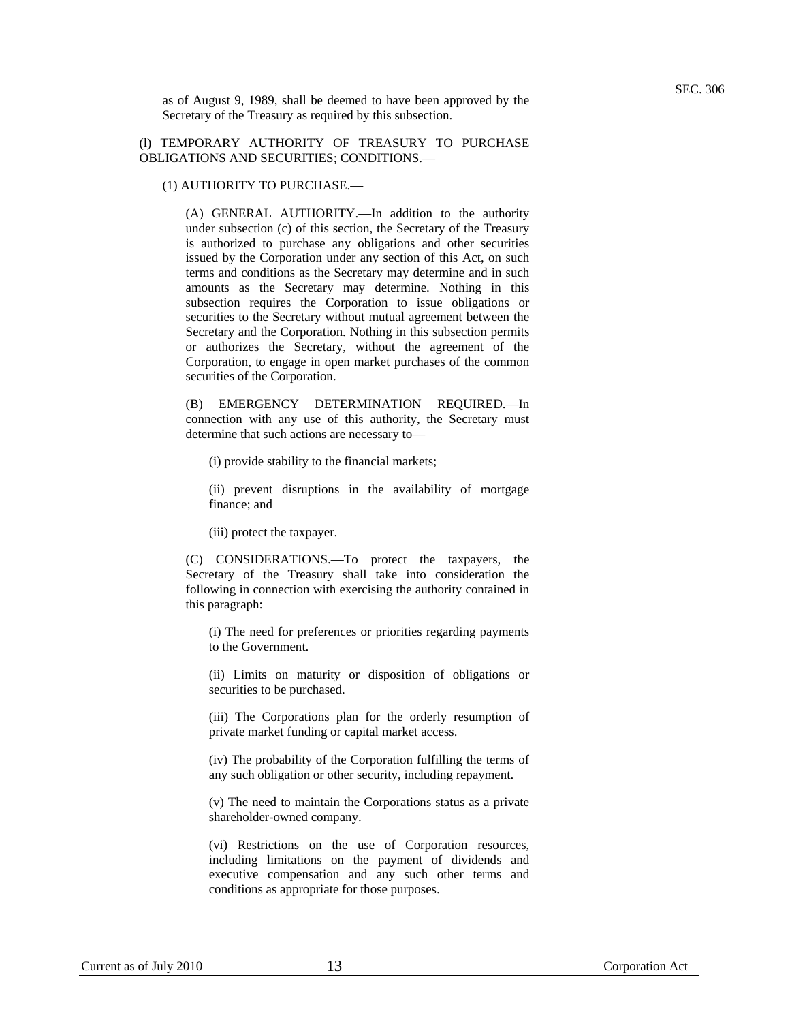as of August 9, 1989, shall be deemed to have been approved by the Secretary of the Treasury as required by this subsection.

## (l) TEMPORARY AUTHORITY OF TREASURY TO PURCHASE OBLIGATIONS AND SECURITIES; CONDITIONS.—

#### (1) AUTHORITY TO PURCHASE.—

(A) GENERAL AUTHORITY.—In addition to the authority under subsection (c) of this section, the Secretary of the Treasury is authorized to purchase any obligations and other securities issued by the Corporation under any section of this Act, on such terms and conditions as the Secretary may determine and in such amounts as the Secretary may determine. Nothing in this subsection requires the Corporation to issue obligations or securities to the Secretary without mutual agreement between the Secretary and the Corporation. Nothing in this subsection permits or authorizes the Secretary, without the agreement of the Corporation, to engage in open market purchases of the common securities of the Corporation.

(B) EMERGENCY DETERMINATION REQUIRED.—In connection with any use of this authority, the Secretary must determine that such actions are necessary to—

(i) provide stability to the financial markets;

(ii) prevent disruptions in the availability of mortgage finance; and

(iii) protect the taxpayer.

(C) CONSIDERATIONS.—To protect the taxpayers, the Secretary of the Treasury shall take into consideration the following in connection with exercising the authority contained in this paragraph:

(i) The need for preferences or priorities regarding payments to the Government.

(ii) Limits on maturity or disposition of obligations or securities to be purchased.

(iii) The Corporations plan for the orderly resumption of private market funding or capital market access.

(iv) The probability of the Corporation fulfilling the terms of any such obligation or other security, including repayment.

(v) The need to maintain the Corporations status as a private shareholder-owned company.

(vi) Restrictions on the use of Corporation resources, including limitations on the payment of dividends and executive compensation and any such other terms and conditions as appropriate for those purposes.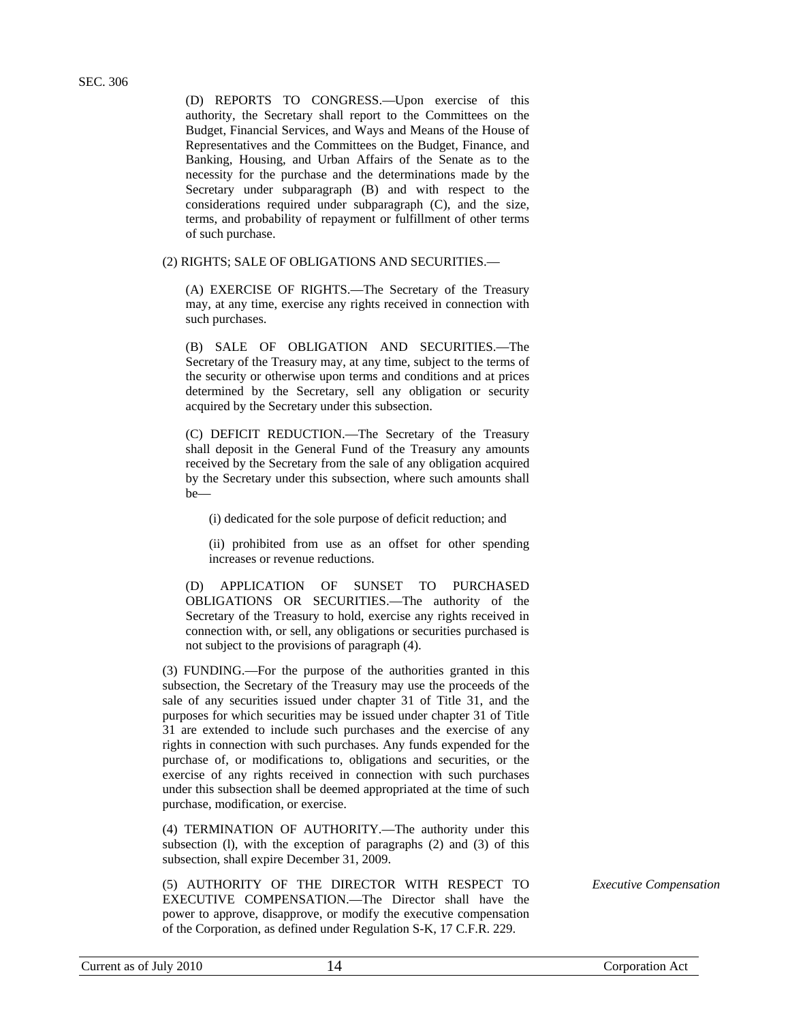(D) REPORTS TO CONGRESS.—Upon exercise of this authority, the Secretary shall report to the Committees on the Budget, Financial Services, and Ways and Means of the House of Representatives and the Committees on the Budget, Finance, and Banking, Housing, and Urban Affairs of the Senate as to the necessity for the purchase and the determinations made by the Secretary under subparagraph (B) and with respect to the considerations required under subparagraph (C), and the size, terms, and probability of repayment or fulfillment of other terms of such purchase.

(2) RIGHTS; SALE OF OBLIGATIONS AND SECURITIES.—

(A) EXERCISE OF RIGHTS.—The Secretary of the Treasury may, at any time, exercise any rights received in connection with such purchases.

(B) SALE OF OBLIGATION AND SECURITIES.—The Secretary of the Treasury may, at any time, subject to the terms of the security or otherwise upon terms and conditions and at prices determined by the Secretary, sell any obligation or security acquired by the Secretary under this subsection.

(C) DEFICIT REDUCTION.—The Secretary of the Treasury shall deposit in the General Fund of the Treasury any amounts received by the Secretary from the sale of any obligation acquired by the Secretary under this subsection, where such amounts shall be—

(i) dedicated for the sole purpose of deficit reduction; and

(ii) prohibited from use as an offset for other spending increases or revenue reductions.

(D) APPLICATION OF SUNSET TO PURCHASED OBLIGATIONS OR SECURITIES.—The authority of the Secretary of the Treasury to hold, exercise any rights received in connection with, or sell, any obligations or securities purchased is not subject to the provisions of paragraph (4).

(3) FUNDING.—For the purpose of the authorities granted in this subsection, the Secretary of the Treasury may use the proceeds of the sale of any securities issued under chapter 31 of Title 31, and the purposes for which securities may be issued under chapter 31 of Title 31 are extended to include such purchases and the exercise of any rights in connection with such purchases. Any funds expended for the purchase of, or modifications to, obligations and securities, or the exercise of any rights received in connection with such purchases under this subsection shall be deemed appropriated at the time of such purchase, modification, or exercise.

(4) TERMINATION OF AUTHORITY.—The authority under this subsection (l), with the exception of paragraphs (2) and (3) of this subsection, shall expire December 31, 2009.

(5) AUTHORITY OF THE DIRECTOR WITH RESPECT TO EXECUTIVE COMPENSATION.—The Director shall have the power to approve, disapprove, or modify the executive compensation of the Corporation, as defined under Regulation S-K, 17 C.F.R. 229.

*Executive Compensation*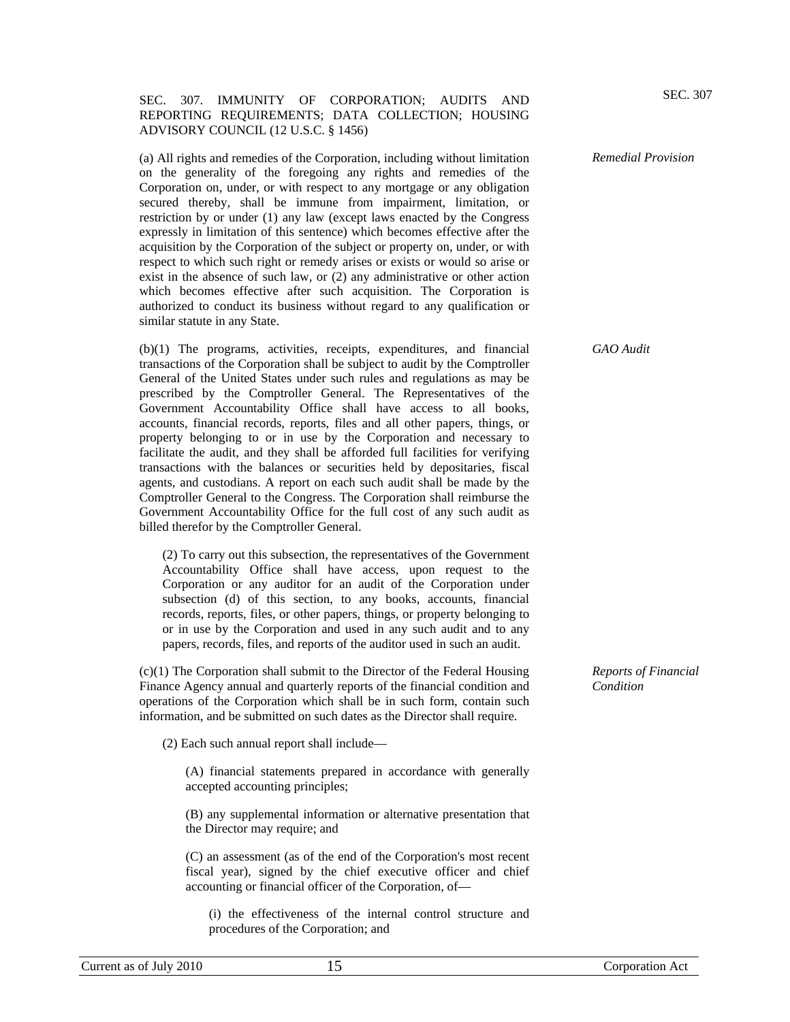## SEC. 307. IMMUNITY OF CORPORATION; AUDITS AND REPORTING REQUIREMENTS; DATA COLLECTION; HOUSING ADVISORY COUNCIL (12 U.S.C. § 1456)

(a) All rights and remedies of the Corporation, including without limitation on the generality of the foregoing any rights and remedies of the Corporation on, under, or with respect to any mortgage or any obligation secured thereby, shall be immune from impairment, limitation, or restriction by or under (1) any law (except laws enacted by the Congress expressly in limitation of this sentence) which becomes effective after the acquisition by the Corporation of the subject or property on, under, or with respect to which such right or remedy arises or exists or would so arise or exist in the absence of such law, or (2) any administrative or other action which becomes effective after such acquisition. The Corporation is authorized to conduct its business without regard to any qualification or similar statute in any State.

(b)(1) The programs, activities, receipts, expenditures, and financial transactions of the Corporation shall be subject to audit by the Comptroller General of the United States under such rules and regulations as may be prescribed by the Comptroller General. The Representatives of the Government Accountability Office shall have access to all books, accounts, financial records, reports, files and all other papers, things, or property belonging to or in use by the Corporation and necessary to facilitate the audit, and they shall be afforded full facilities for verifying transactions with the balances or securities held by depositaries, fiscal agents, and custodians. A report on each such audit shall be made by the Comptroller General to the Congress. The Corporation shall reimburse the Government Accountability Office for the full cost of any such audit as billed therefor by the Comptroller General.

(2) To carry out this subsection, the representatives of the Government Accountability Office shall have access, upon request to the Corporation or any auditor for an audit of the Corporation under subsection (d) of this section, to any books, accounts, financial records, reports, files, or other papers, things, or property belonging to or in use by the Corporation and used in any such audit and to any papers, records, files, and reports of the auditor used in such an audit.

(c)(1) The Corporation shall submit to the Director of the Federal Housing Finance Agency annual and quarterly reports of the financial condition and operations of the Corporation which shall be in such form, contain such information, and be submitted on such dates as the Director shall require.

(2) Each such annual report shall include—

(A) financial statements prepared in accordance with generally accepted accounting principles;

(B) any supplemental information or alternative presentation that the Director may require; and

(C) an assessment (as of the end of the Corporation's most recent fiscal year), signed by the chief executive officer and chief accounting or financial officer of the Corporation, of—

(i) the effectiveness of the internal control structure and procedures of the Corporation; and

# *Remedial Provision*

*GAO Audit* 

*Reports of Financial Condition*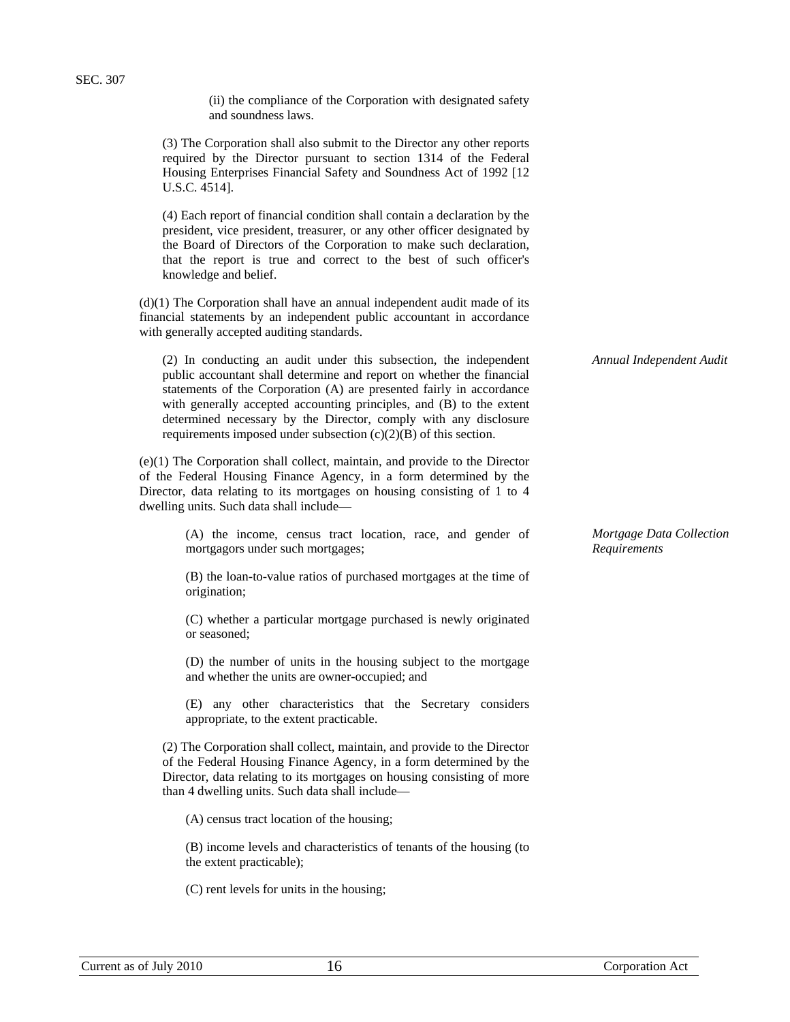SEC. 307

(ii) the compliance of the Corporation with designated safety and soundness laws.

(3) The Corporation shall also submit to the Director any other reports required by the Director pursuant to section 1314 of the Federal Housing Enterprises Financial Safety and Soundness Act of 1992 [12 U.S.C. 4514].

(4) Each report of financial condition shall contain a declaration by the president, vice president, treasurer, or any other officer designated by the Board of Directors of the Corporation to make such declaration, that the report is true and correct to the best of such officer's knowledge and belief.

(d)(1) The Corporation shall have an annual independent audit made of its financial statements by an independent public accountant in accordance with generally accepted auditing standards.

(2) In conducting an audit under this subsection, the independent public accountant shall determine and report on whether the financial statements of the Corporation (A) are presented fairly in accordance with generally accepted accounting principles, and (B) to the extent determined necessary by the Director, comply with any disclosure requirements imposed under subsection (c)(2)(B) of this section.

(e)(1) The Corporation shall collect, maintain, and provide to the Director of the Federal Housing Finance Agency, in a form determined by the Director, data relating to its mortgages on housing consisting of 1 to 4 dwelling units. Such data shall include—

> (A) the income, census tract location, race, and gender of mortgagors under such mortgages;

> (B) the loan-to-value ratios of purchased mortgages at the time of origination;

> (C) whether a particular mortgage purchased is newly originated or seasoned;

> (D) the number of units in the housing subject to the mortgage and whether the units are owner-occupied; and

> (E) any other characteristics that the Secretary considers appropriate, to the extent practicable.

(2) The Corporation shall collect, maintain, and provide to the Director of the Federal Housing Finance Agency, in a form determined by the Director, data relating to its mortgages on housing consisting of more than 4 dwelling units. Such data shall include—

(A) census tract location of the housing;

(B) income levels and characteristics of tenants of the housing (to the extent practicable);

(C) rent levels for units in the housing;

*Annual Independent Audit* 

*Mortgage Data Collection Requirements*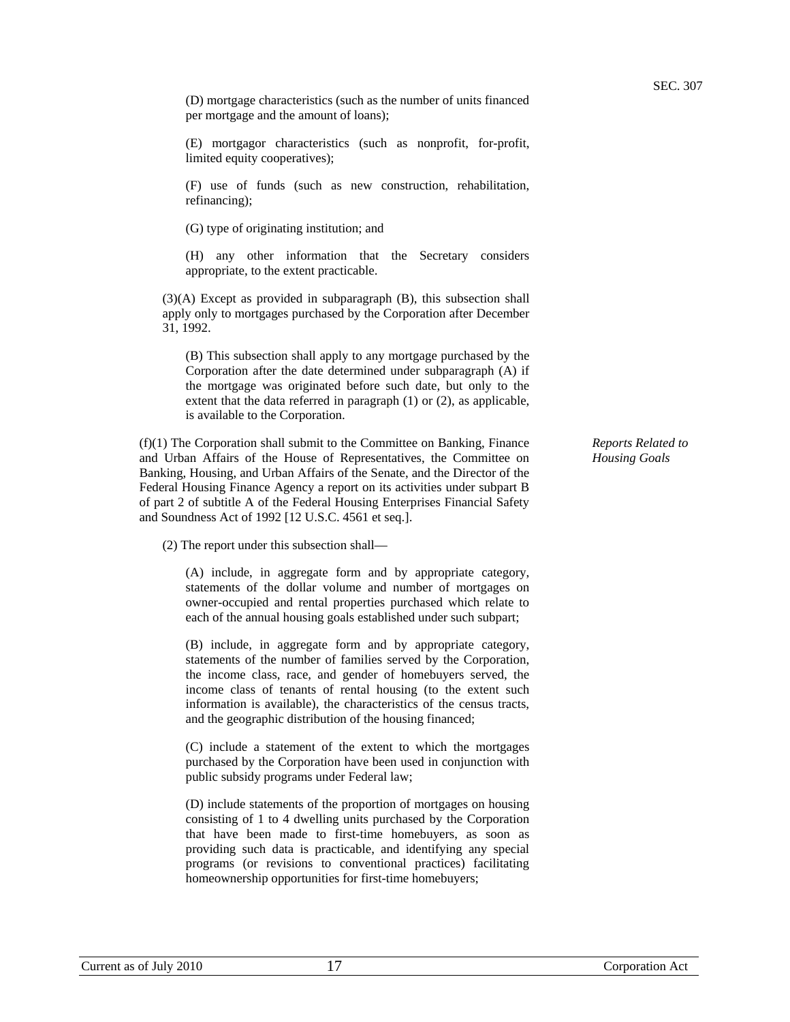(D) mortgage characteristics (such as the number of units financed per mortgage and the amount of loans);

(E) mortgagor characteristics (such as nonprofit, for-profit, limited equity cooperatives);

(F) use of funds (such as new construction, rehabilitation, refinancing);

(G) type of originating institution; and

(H) any other information that the Secretary considers appropriate, to the extent practicable.

(3)(A) Except as provided in subparagraph (B), this subsection shall apply only to mortgages purchased by the Corporation after December 31, 1992.

(B) This subsection shall apply to any mortgage purchased by the Corporation after the date determined under subparagraph (A) if the mortgage was originated before such date, but only to the extent that the data referred in paragraph (1) or (2), as applicable, is available to the Corporation.

(f)(1) The Corporation shall submit to the Committee on Banking, Finance and Urban Affairs of the House of Representatives, the Committee on Banking, Housing, and Urban Affairs of the Senate, and the Director of the Federal Housing Finance Agency a report on its activities under subpart B of part 2 of subtitle A of the Federal Housing Enterprises Financial Safety and Soundness Act of 1992 [12 U.S.C. 4561 et seq.].

(2) The report under this subsection shall—

(A) include, in aggregate form and by appropriate category, statements of the dollar volume and number of mortgages on owner-occupied and rental properties purchased which relate to each of the annual housing goals established under such subpart;

(B) include, in aggregate form and by appropriate category, statements of the number of families served by the Corporation, the income class, race, and gender of homebuyers served, the income class of tenants of rental housing (to the extent such information is available), the characteristics of the census tracts, and the geographic distribution of the housing financed;

(C) include a statement of the extent to which the mortgages purchased by the Corporation have been used in conjunction with public subsidy programs under Federal law;

(D) include statements of the proportion of mortgages on housing consisting of 1 to 4 dwelling units purchased by the Corporation that have been made to first-time homebuyers, as soon as providing such data is practicable, and identifying any special programs (or revisions to conventional practices) facilitating homeownership opportunities for first-time homebuyers;

*Reports Related to Housing Goals*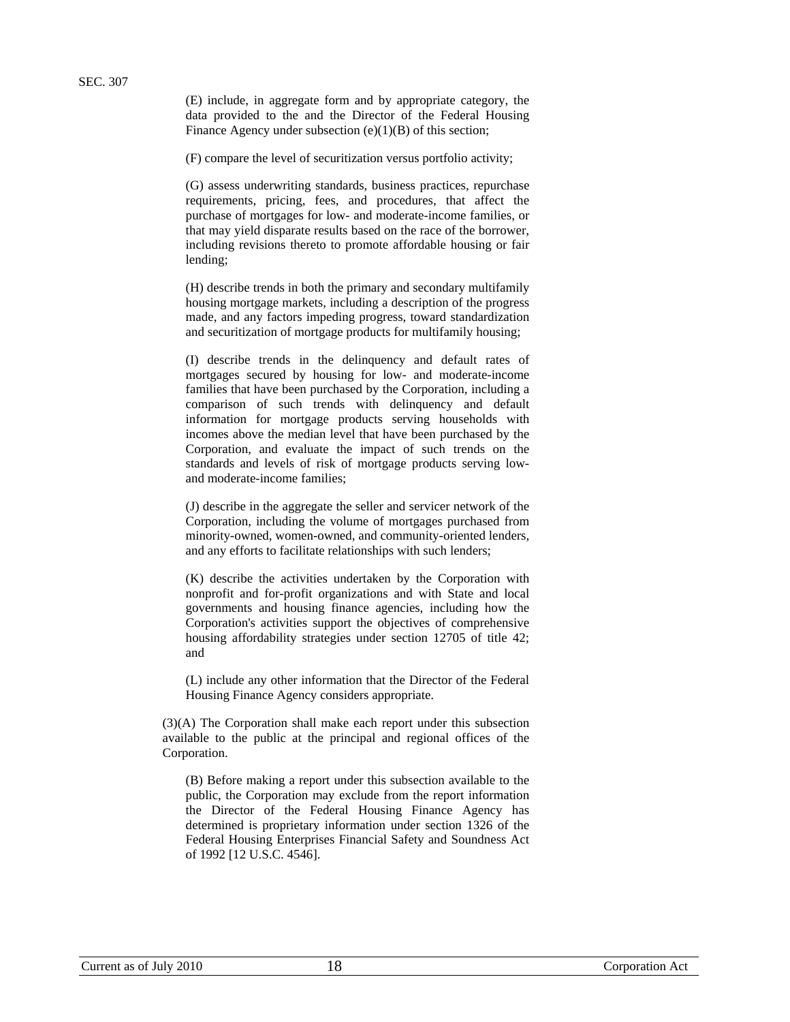(E) include, in aggregate form and by appropriate category, the data provided to the and the Director of the Federal Housing Finance Agency under subsection  $(e)(1)(B)$  of this section;

(F) compare the level of securitization versus portfolio activity;

(G) assess underwriting standards, business practices, repurchase requirements, pricing, fees, and procedures, that affect the purchase of mortgages for low- and moderate-income families, or that may yield disparate results based on the race of the borrower, including revisions thereto to promote affordable housing or fair lending;

(H) describe trends in both the primary and secondary multifamily housing mortgage markets, including a description of the progress made, and any factors impeding progress, toward standardization and securitization of mortgage products for multifamily housing;

(I) describe trends in the delinquency and default rates of mortgages secured by housing for low- and moderate-income families that have been purchased by the Corporation, including a comparison of such trends with delinquency and default information for mortgage products serving households with incomes above the median level that have been purchased by the Corporation, and evaluate the impact of such trends on the standards and levels of risk of mortgage products serving lowand moderate-income families;

(J) describe in the aggregate the seller and servicer network of the Corporation, including the volume of mortgages purchased from minority-owned, women-owned, and community-oriented lenders, and any efforts to facilitate relationships with such lenders;

(K) describe the activities undertaken by the Corporation with nonprofit and for-profit organizations and with State and local governments and housing finance agencies, including how the Corporation's activities support the objectives of comprehensive housing affordability strategies under section 12705 of title 42; and

(L) include any other information that the Director of the Federal Housing Finance Agency considers appropriate.

(3)(A) The Corporation shall make each report under this subsection available to the public at the principal and regional offices of the Corporation.

(B) Before making a report under this subsection available to the public, the Corporation may exclude from the report information the Director of the Federal Housing Finance Agency has determined is proprietary information under section 1326 of the Federal Housing Enterprises Financial Safety and Soundness Act of 1992 [12 U.S.C. 4546].